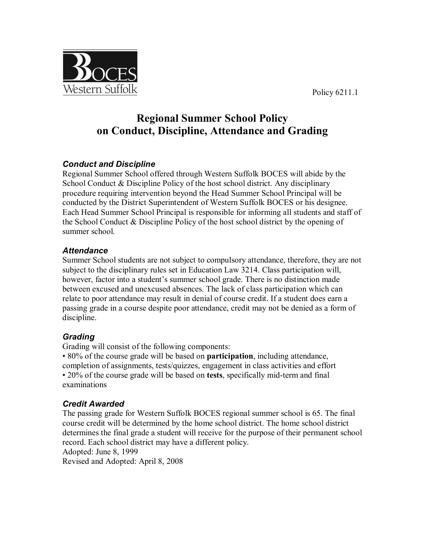Policy 6211.1



# **Regional Summer School Policy on Conduct, Discipline, Attendance and Grading**

# *Conduct and Discipline*

Regional Summer School offered through Western Suffolk BOCES will abide by the School Conduct & Discipline Policy of the host school district. Any disciplinary procedure requiring intervention beyond the Head Summer School Principal will be conducted by the District Superintendent of Western Suffolk BOCES or his designee. Each Head Summer School Principal is responsible for informing all students and staff of the School Conduct & Discipline Policy of the host school district by the opening of summer school.

# *Attendance*

Summer School students are not subject to compulsory attendance, therefore, they are not subject to the disciplinary rules set in Education Law 3214. Class participation will, however, factor into a student's summer school grade. There is no distinction made between excused and unexcused absences. The lack of class participation which can relate to poor attendance may result in denial of course credit. If a student does earn a passing grade in a course despite poor attendance, credit may not be denied as a form of discipline.

# *Grading*

Grading will consist of the following components:

• 80% of the course grade will be based on **participation**, including attendance, completion of assignments, tests/quizzes, engagement in class activities and effort • 20% of the course grade will be based on **tests**, specifically mid-term and final examinations

# *Credit Awarded*

The passing grade for Western Suffolk BOCES regional summer school is 65. The final course credit will be determined by the home school district. The home school district determines the final grade a student will receive for the purpose of their permanent school record. Each school district may have a different policy. Adopted: June 8, 1999 Revised and Adopted: April 8, 2008